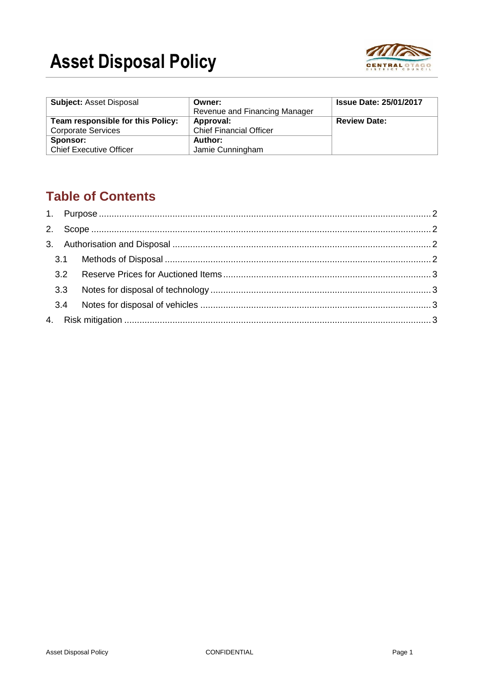# **Asset Disposal Policy**



| <b>Subject: Asset Disposal</b>    | Owner:                         | <b>Issue Date: 25/01/2017</b> |
|-----------------------------------|--------------------------------|-------------------------------|
|                                   | Revenue and Financing Manager  |                               |
| Team responsible for this Policy: | Approval:                      | <b>Review Date:</b>           |
| <b>Corporate Services</b>         | <b>Chief Financial Officer</b> |                               |
| Sponsor:                          | Author:                        |                               |
| <b>Chief Executive Officer</b>    | Jamie Cunningham               |                               |

# **Table of Contents**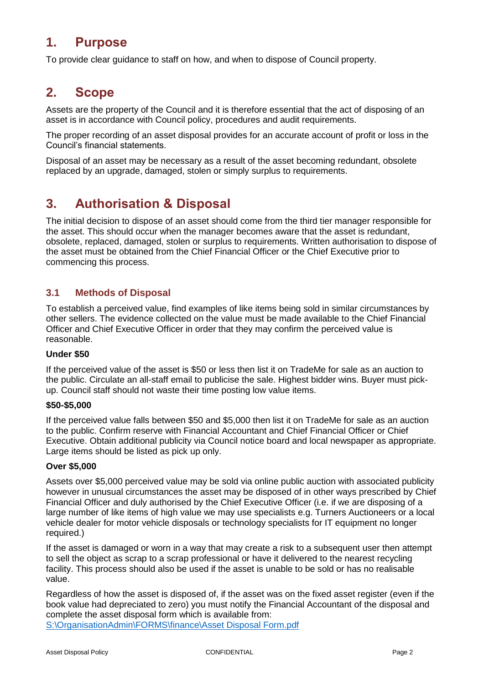# **1. Purpose**

To provide clear guidance to staff on how, and when to dispose of Council property.

### **2. Scope**

Assets are the property of the Council and it is therefore essential that the act of disposing of an asset is in accordance with Council policy, procedures and audit requirements.

The proper recording of an asset disposal provides for an accurate account of profit or loss in the Council's financial statements.

Disposal of an asset may be necessary as a result of the asset becoming redundant, obsolete replaced by an upgrade, damaged, stolen or simply surplus to requirements.

# **3. Authorisation & Disposal**

The initial decision to dispose of an asset should come from the third tier manager responsible for the asset. This should occur when the manager becomes aware that the asset is redundant, obsolete, replaced, damaged, stolen or surplus to requirements. Written authorisation to dispose of the asset must be obtained from the Chief Financial Officer or the Chief Executive prior to commencing this process.

#### **3.1 Methods of Disposal**

To establish a perceived value, find examples of like items being sold in similar circumstances by other sellers. The evidence collected on the value must be made available to the Chief Financial Officer and Chief Executive Officer in order that they may confirm the perceived value is reasonable.

#### **Under \$50**

If the perceived value of the asset is \$50 or less then list it on TradeMe for sale as an auction to the public. Circulate an all-staff email to publicise the sale. Highest bidder wins. Buyer must pickup. Council staff should not waste their time posting low value items.

#### **\$50-\$5,000**

If the perceived value falls between \$50 and \$5,000 then list it on TradeMe for sale as an auction to the public. Confirm reserve with Financial Accountant and Chief Financial Officer or Chief Executive. Obtain additional publicity via Council notice board and local newspaper as appropriate. Large items should be listed as pick up only.

#### **Over \$5,000**

Assets over \$5,000 perceived value may be sold via online public auction with associated publicity however in unusual circumstances the asset may be disposed of in other ways prescribed by Chief Financial Officer and duly authorised by the Chief Executive Officer (i.e. if we are disposing of a large number of like items of high value we may use specialists e.g. Turners Auctioneers or a local vehicle dealer for motor vehicle disposals or technology specialists for IT equipment no longer required.)

If the asset is damaged or worn in a way that may create a risk to a subsequent user then attempt to sell the object as scrap to a scrap professional or have it delivered to the nearest recycling facility. This process should also be used if the asset is unable to be sold or has no realisable value.

Regardless of how the asset is disposed of, if the asset was on the fixed asset register (even if the book value had depreciated to zero) you must notify the Financial Accountant of the disposal and complete the asset disposal form which is available from: [S:\OrganisationAdmin\FORMS\finance\Asset Disposal Form.pdf](file://///codcfs/shared$/OrganisationAdmin/FORMS/Finance/Asset%20Disposal%20Form.pdf)